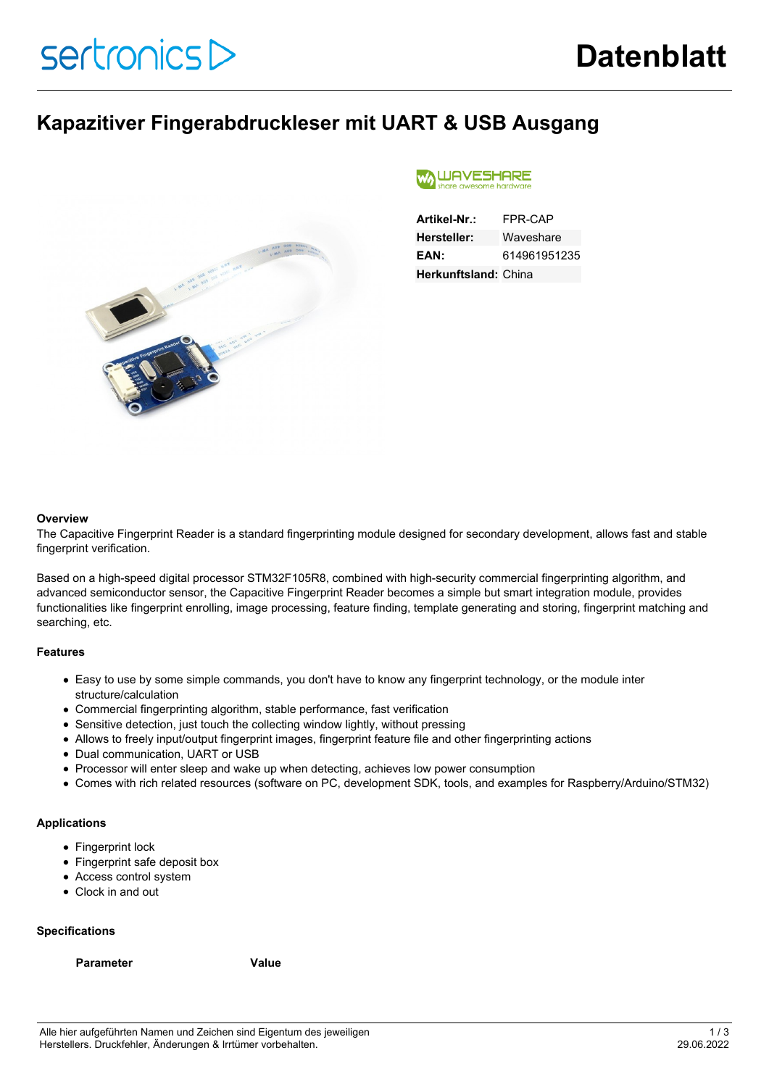### **Kapazitiver Fingerabdruckleser mit UART & USB Ausgang**



#### **WAVESHARE** awesome hard

| Artikel-Nr.:                | FPR-CAP      |
|-----------------------------|--------------|
| <b>Hersteller:</b>          | Waveshare    |
| EAN:                        | 614961951235 |
| <b>Herkunftsland: China</b> |              |

### **Overview**

The Capacitive Fingerprint Reader is a standard fingerprinting module designed for secondary development, allows fast and stable fingerprint verification.

Based on a high-speed digital processor STM32F105R8, combined with high-security commercial fingerprinting algorithm, and advanced semiconductor sensor, the Capacitive Fingerprint Reader becomes a simple but smart integration module, provides functionalities like fingerprint enrolling, image processing, feature finding, template generating and storing, fingerprint matching and searching, etc.

### **Features**

- Easy to use by some simple commands, you don't have to know any fingerprint technology, or the module inter structure/calculation
- Commercial fingerprinting algorithm, stable performance, fast verification
- Sensitive detection, just touch the collecting window lightly, without pressing
- Allows to freely input/output fingerprint images, fingerprint feature file and other fingerprinting actions
- Dual communication, UART or USB
- Processor will enter sleep and wake up when detecting, achieves low power consumption
- Comes with rich related resources (software on PC, development SDK, tools, and examples for Raspberry/Arduino/STM32)

### **Applications**

- Fingerprint lock
- Fingerprint safe deposit box
- Access control system
- Clock in and out

### **Specifications**

### **Parameter Value**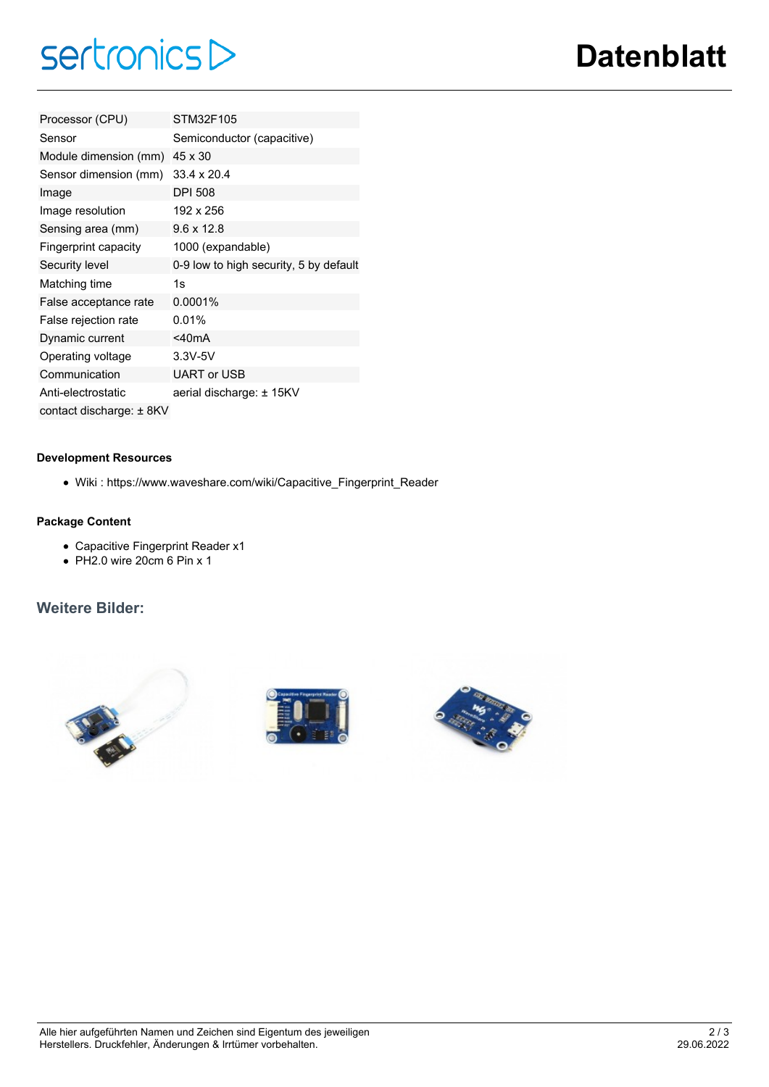# $sertonicsD$

| Processor (CPU)              | STM32F105                              |
|------------------------------|----------------------------------------|
| Sensor                       | Semiconductor (capacitive)             |
| Module dimension (mm)        | 45 x 30                                |
| Sensor dimension (mm)        | $33.4 \times 20.4$                     |
| Image                        | <b>DPI 508</b>                         |
| Image resolution             | 192 x 256                              |
| Sensing area (mm)            | $9.6 \times 12.8$                      |
| Fingerprint capacity         | 1000 (expandable)                      |
| Security level               | 0-9 low to high security, 5 by default |
| Matching time                | 1s                                     |
| False acceptance rate        | 0.0001%                                |
| False rejection rate         | 0.01%                                  |
| Dynamic current              | $<$ 40mA                               |
| Operating voltage            | $3.3V - 5V$                            |
| Communication                | <b>UART or USB</b>                     |
| Anti-electrostatic           | aerial discharge: ± 15KV               |
| contact discharge: $\pm$ 8KV |                                        |

### **Development Resources**

Wiki : https://www.waveshare.com/wiki/Capacitive\_Fingerprint\_Reader

### **Package Content**

- Capacitive Fingerprint Reader x1
- $\bullet$  PH2.0 wire 20cm 6 Pin x 1

### **Weitere Bilder:**